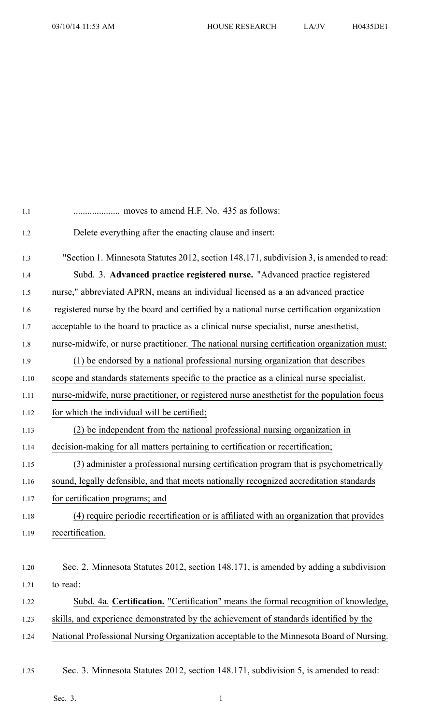| 1.1     |                                                                                             |
|---------|---------------------------------------------------------------------------------------------|
| 1.2     | Delete everything after the enacting clause and insert:                                     |
| 1.3     | "Section 1. Minnesota Statutes 2012, section 148.171, subdivision 3, is amended to read:    |
| 1.4     | Subd. 3. Advanced practice registered nurse. "Advanced practice registered                  |
| 1.5     | nurse," abbreviated APRN, means an individual licensed as a an advanced practice            |
| 1.6     | registered nurse by the board and certified by a national nurse certification organization  |
| $1.7\,$ | acceptable to the board to practice as a clinical nurse specialist, nurse anesthetist,      |
| 1.8     | nurse-midwife, or nurse practitioner. The national nursing certification organization must: |
| 1.9     | (1) be endorsed by a national professional nursing organization that describes              |
| 1.10    | scope and standards statements specific to the practice as a clinical nurse specialist,     |
| 1.11    | nurse-midwife, nurse practitioner, or registered nurse anesthetist for the population focus |
| 1.12    | for which the individual will be certified;                                                 |
| 1.13    | (2) be independent from the national professional nursing organization in                   |
| 1.14    | decision-making for all matters pertaining to certification or recertification;             |
| 1.15    | (3) administer a professional nursing certification program that is psychometrically        |
| 1.16    | sound, legally defensible, and that meets nationally recognized accreditation standards     |
| 1.17    | for certification programs; and                                                             |
| 1.18    | (4) require periodic recertification or is affiliated with an organization that provides    |
| 1.19    | recertification.                                                                            |
| 1.20    | Sec. 2. Minnesota Statutes 2012, section 148.171, is amended by adding a subdivision        |
| 1.21    | to read:                                                                                    |
| 1.22    | Subd. 4a. Certification. "Certification" means the formal recognition of knowledge,         |
| 1.23    | skills, and experience demonstrated by the achievement of standards identified by the       |
| 1.24    | National Professional Nursing Organization acceptable to the Minnesota Board of Nursing.    |
|         |                                                                                             |

1.25 Sec. 3. Minnesota Statutes 2012, section 148.171, subdivision 5, is amended to read: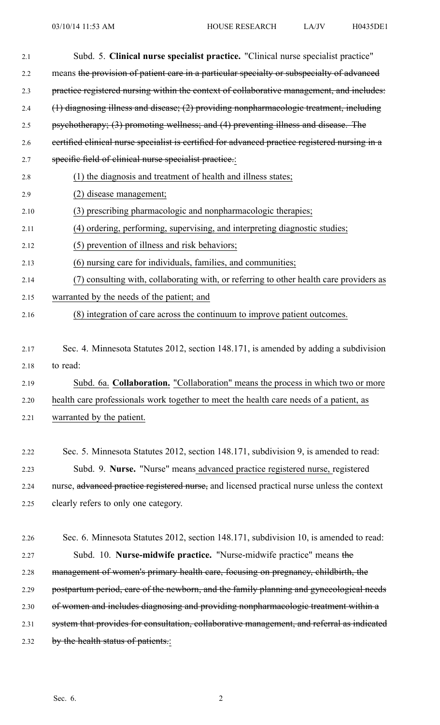| 2.1  | Subd. 5. Clinical nurse specialist practice. "Clinical nurse specialist practice"              |
|------|------------------------------------------------------------------------------------------------|
| 2.2  | means the provision of patient care in a particular specialty or subspecialty of advanced      |
| 2.3  | practice registered nursing within the context of collaborative management, and includes:      |
| 2.4  | (1) diagnosing illness and disease; (2) providing nonpharmacologic treatment, including        |
| 2.5  | psychotherapy; (3) promoting wellness; and (4) preventing illness and disease. The             |
| 2.6  | eertified elinical nurse specialist is certified for advanced practice registered nursing in a |
| 2.7  | specific field of clinical nurse specialist practice.:                                         |
| 2.8  | (1) the diagnosis and treatment of health and illness states;                                  |
| 2.9  | (2) disease management;                                                                        |
| 2.10 | (3) prescribing pharmacologic and nonpharmacologic therapies;                                  |
| 2.11 | (4) ordering, performing, supervising, and interpreting diagnostic studies;                    |
| 2.12 | (5) prevention of illness and risk behaviors;                                                  |
| 2.13 | (6) nursing care for individuals, families, and communities;                                   |
| 2.14 | (7) consulting with, collaborating with, or referring to other health care providers as        |
| 2.15 | warranted by the needs of the patient; and                                                     |
| 2.16 | (8) integration of care across the continuum to improve patient outcomes.                      |
|      |                                                                                                |
| 2.17 | Sec. 4. Minnesota Statutes 2012, section 148.171, is amended by adding a subdivision           |
| 2.18 | to read:                                                                                       |
| 2.19 | Subd. 6a. Collaboration. "Collaboration" means the process in which two or more                |
| 2.20 | health care professionals work together to meet the health care needs of a patient, as         |
| 2.21 | warranted by the patient.                                                                      |
|      |                                                                                                |
| 2.22 | Sec. 5. Minnesota Statutes 2012, section 148.171, subdivision 9, is amended to read:           |
| 2.23 | Subd. 9. Nurse. "Nurse" means advanced practice registered nurse, registered                   |
| 2.24 | nurse, advanced practice registered nurse, and licensed practical nurse unless the context     |
| 2.25 | clearly refers to only one category.                                                           |
|      |                                                                                                |
| 2.26 | Sec. 6. Minnesota Statutes 2012, section 148.171, subdivision 10, is amended to read:          |
| 2.27 | Subd. 10. Nurse-midwife practice. "Nurse-midwife practice" means the                           |
| 2.28 | management of women's primary health care, focusing on pregnancy, childbirth, the              |
| 2.29 | postpartum period, care of the newborn, and the family planning and gynecological needs        |
| 2.30 | of women and includes diagnosing and providing nonpharmacologic treatment within a             |
| 2.31 | system that provides for consultation, collaborative management, and referral as indicated     |
| 2.32 | by the health status of patients.:                                                             |
|      |                                                                                                |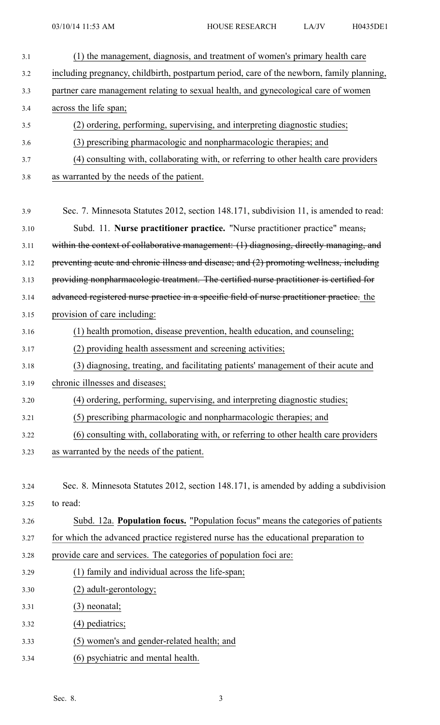| 3.1  | (1) the management, diagnosis, and treatment of women's primary health care                |
|------|--------------------------------------------------------------------------------------------|
| 3.2  | including pregnancy, childbirth, postpartum period, care of the newborn, family planning,  |
| 3.3  | partner care management relating to sexual health, and gynecological care of women         |
| 3.4  | across the life span;                                                                      |
| 3.5  | (2) ordering, performing, supervising, and interpreting diagnostic studies;                |
| 3.6  | (3) prescribing pharmacologic and nonpharmacologic therapies; and                          |
| 3.7  | (4) consulting with, collaborating with, or referring to other health care providers       |
| 3.8  | as warranted by the needs of the patient.                                                  |
|      |                                                                                            |
| 3.9  | Sec. 7. Minnesota Statutes 2012, section 148.171, subdivision 11, is amended to read:      |
| 3.10 | Subd. 11. Nurse practitioner practice. "Nurse practitioner practice" means,                |
| 3.11 | within the context of collaborative management: (1) diagnosing, directly managing, and     |
| 3.12 | preventing acute and chronic illness and disease; and (2) promoting wellness, including    |
| 3.13 | providing nonpharmacologic treatment. The certified nurse practitioner is certified for    |
| 3.14 | advanced registered nurse practice in a specific field of nurse practitioner practice. the |
| 3.15 | provision of care including:                                                               |
| 3.16 | (1) health promotion, disease prevention, health education, and counseling;                |
| 3.17 | (2) providing health assessment and screening activities;                                  |
| 3.18 | (3) diagnosing, treating, and facilitating patients' management of their acute and         |
| 3.19 | chronic illnesses and diseases;                                                            |
| 3.20 | (4) ordering, performing, supervising, and interpreting diagnostic studies;                |
| 3.21 | (5) prescribing pharmacologic and nonpharmacologic therapies; and                          |
| 3.22 | (6) consulting with, collaborating with, or referring to other health care providers       |
| 3.23 | as warranted by the needs of the patient.                                                  |
|      |                                                                                            |
| 3.24 | Sec. 8. Minnesota Statutes 2012, section 148.171, is amended by adding a subdivision       |
| 3.25 | to read:                                                                                   |
| 3.26 | Subd. 12a. Population focus. "Population focus" means the categories of patients           |
| 3.27 | for which the advanced practice registered nurse has the educational preparation to        |
| 3.28 | provide care and services. The categories of population foci are:                          |
| 3.29 | (1) family and individual across the life-span;                                            |
| 3.30 | (2) adult-gerontology;                                                                     |
| 3.31 | $(3)$ neonatal;                                                                            |
| 3.32 | $(4)$ pediatrics;                                                                          |
| 3.33 | (5) women's and gender-related health; and                                                 |
| 3.34 | (6) psychiatric and mental health.                                                         |
|      |                                                                                            |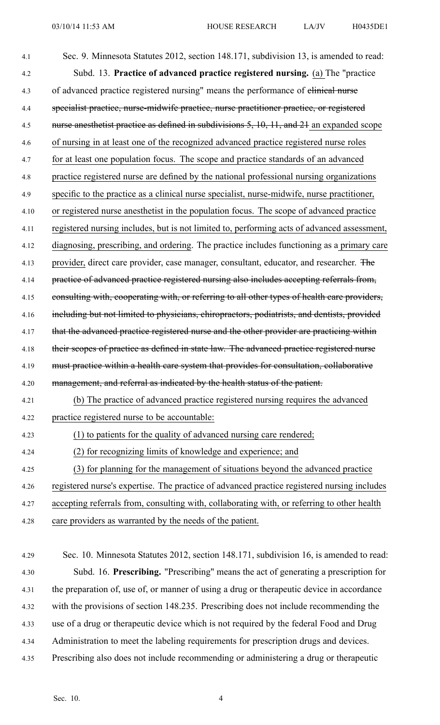| 4.1  | Sec. 9. Minnesota Statutes 2012, section 148.171, subdivision 13, is amended to read:        |
|------|----------------------------------------------------------------------------------------------|
| 4.2  | Subd. 13. Practice of advanced practice registered nursing. (a) The "practice                |
| 4.3  | of advanced practice registered nursing" means the performance of elimical nurse             |
| 4.4  | specialist practice, nurse-midwife practice, nurse practitioner practice, or registered      |
| 4.5  | nurse anesthetist practice as defined in subdivisions 5, 10, 11, and 21 an expanded scope    |
| 4.6  | of nursing in at least one of the recognized advanced practice registered nurse roles        |
| 4.7  | for at least one population focus. The scope and practice standards of an advanced           |
| 4.8  | practice registered nurse are defined by the national professional nursing organizations     |
| 4.9  | specific to the practice as a clinical nurse specialist, nurse-midwife, nurse practitioner,  |
| 4.10 | or registered nurse anesthetist in the population focus. The scope of advanced practice      |
| 4.11 | registered nursing includes, but is not limited to, performing acts of advanced assessment,  |
| 4.12 | diagnosing, prescribing, and ordering. The practice includes functioning as a primary care   |
| 4.13 | provider, direct care provider, case manager, consultant, educator, and researcher. The      |
| 4.14 | practice of advanced practice registered nursing also includes accepting referrals from,     |
| 4.15 | consulting with, cooperating with, or referring to all other types of health care providers, |
| 4.16 | including but not limited to physicians, chiropractors, podiatrists, and dentists, provided  |
| 4.17 | that the advanced practice registered nurse and the other provider are practicing within     |
| 4.18 | their seopes of practice as defined in state law. The advanced practice registered nurse     |
| 4.19 | must practice within a health care system that provides for consultation, collaborative      |
| 4.20 | management, and referral as indicated by the health status of the patient.                   |
| 4.21 | (b) The practice of advanced practice registered nursing requires the advanced               |
| 4.22 | practice registered nurse to be accountable:                                                 |
| 4.23 | (1) to patients for the quality of advanced nursing care rendered;                           |
| 4.24 | (2) for recognizing limits of knowledge and experience; and                                  |
| 4.25 | (3) for planning for the management of situations beyond the advanced practice               |
| 4.26 | registered nurse's expertise. The practice of advanced practice registered nursing includes  |
| 4.27 | accepting referrals from, consulting with, collaborating with, or referring to other health  |
| 4.28 | care providers as warranted by the needs of the patient.                                     |

4.29 Sec. 10. Minnesota Statutes 2012, section 148.171, subdivision 16, is amended to read: 4.30 Subd. 16. **Prescribing.** "Prescribing" means the act of generating <sup>a</sup> prescription for 4.31 the preparation of, use of, or manner of using <sup>a</sup> drug or therapeutic device in accordance 4.32 with the provisions of section 148.235. Prescribing does not include recommending the 4.33 use of <sup>a</sup> drug or therapeutic device which is not required by the federal Food and Drug 4.34 Administration to meet the labeling requirements for prescription drugs and devices. 4.35 Prescribing also does not include recommending or administering <sup>a</sup> drug or therapeutic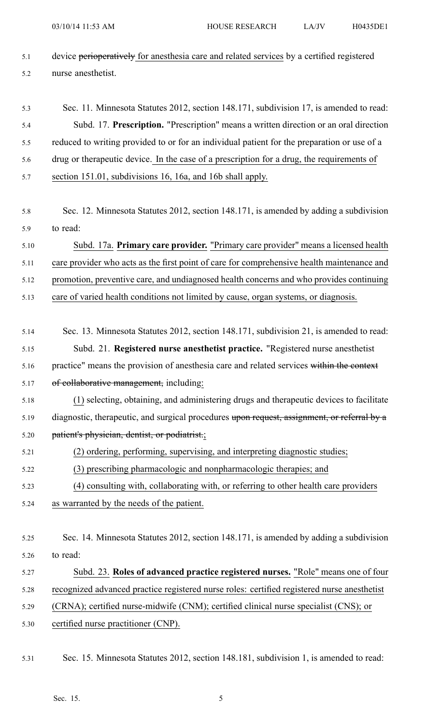5.1 device perioperatively for anesthesia care and related services by a certified registered 5.2 nurse anesthetist.

# 5.3 Sec. 11. Minnesota Statutes 2012, section 148.171, subdivision 17, is amended to read: 5.4 Subd. 17. **Prescription.** "Prescription" means <sup>a</sup> written direction or an oral direction 5.5 reduced to writing provided to or for an individual patient for the preparation or use of <sup>a</sup> 5.6 drug or therapeutic device. In the case of <sup>a</sup> prescription for <sup>a</sup> drug, the requirements of 5.7 section 151.01, subdivisions 16, 16a, and 16b shall apply.

5.8 Sec. 12. Minnesota Statutes 2012, section 148.171, is amended by adding <sup>a</sup> subdivision 5.9 to read:

5.10 Subd. 17a. **Primary care provider.** "Primary care provider" means <sup>a</sup> licensed health 5.11 care provider who acts as the first point of care for comprehensive health maintenance and 5.12 promotion, preventive care, and undiagnosed health concerns and who provides continuing

5.13 care of varied health conditions not limited by cause, organ systems, or diagnosis.

- 5.14 Sec. 13. Minnesota Statutes 2012, section 148.171, subdivision 21, is amended to read: 5.15 Subd. 21. **Registered nurse anesthetist practice.** "Registered nurse anesthetist 5.16 practice" means the provision of anesthesia care and related services within the context 5.17 of collaborative management, including:
- 5.18 (1) selecting, obtaining, and administering drugs and therapeutic devices to facilitate 5.19 diagnostic, therapeutic, and surgical procedures upon request, assignment, or referral by <sup>a</sup> 5.20 patient's physician, dentist, or podiatrist.;
- 5.21 (2) ordering, performing, supervising, and interpreting diagnostic studies;
- 5.22 (3) prescribing pharmacologic and nonpharmacologic therapies; and
- 5.23 (4) consulting with, collaborating with, or referring to other health care providers
- 5.24 as warranted by the needs of the patient.
- 5.25 Sec. 14. Minnesota Statutes 2012, section 148.171, is amended by adding <sup>a</sup> subdivision 5.26 to read:
- 5.27 Subd. 23. **Roles of advanced practice registered nurses.** "Role" means one of four 5.28 recognized advanced practice registered nurse roles: certified registered nurse anesthetist 5.29 (CRNA); certified nurse-midwife (CNM); certified clinical nurse specialist (CNS); or
- 5.30 certified nurse practitioner (CNP).
- 5.31 Sec. 15. Minnesota Statutes 2012, section 148.181, subdivision 1, is amended to read: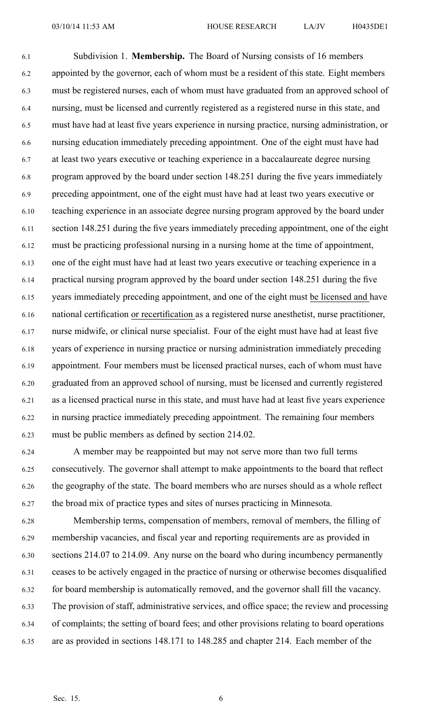6.1 Subdivision 1. **Membership.** The Board of Nursing consists of 16 members 6.2 appointed by the governor, each of whom must be <sup>a</sup> resident of this state. Eight members 6.3 must be registered nurses, each of whom must have graduated from an approved school of 6.4 nursing, must be licensed and currently registered as <sup>a</sup> registered nurse in this state, and 6.5 must have had at least five years experience in nursing practice, nursing administration, or 6.6 nursing education immediately preceding appointment. One of the eight must have had 6.7 at least two years executive or teaching experience in <sup>a</sup> baccalaureate degree nursing 6.8 program approved by the board under section 148.251 during the five years immediately 6.9 preceding appointment, one of the eight must have had at least two years executive or 6.10 teaching experience in an associate degree nursing program approved by the board under 6.11 section 148.251 during the five years immediately preceding appointment, one of the eight 6.12 must be practicing professional nursing in <sup>a</sup> nursing home at the time of appointment, 6.13 one of the eight must have had at least two years executive or teaching experience in <sup>a</sup> 6.14 practical nursing program approved by the board under section 148.251 during the five 6.15 years immediately preceding appointment, and one of the eight must be licensed and have 6.16 national certification or recertification as <sup>a</sup> registered nurse anesthetist, nurse practitioner, 6.17 nurse midwife, or clinical nurse specialist. Four of the eight must have had at least five 6.18 years of experience in nursing practice or nursing administration immediately preceding 6.19 appointment. Four members must be licensed practical nurses, each of whom must have 6.20 graduated from an approved school of nursing, must be licensed and currently registered 6.21 as <sup>a</sup> licensed practical nurse in this state, and must have had at least five years experience 6.22 in nursing practice immediately preceding appointment. The remaining four members 6.23 must be public members as defined by section 214.02.

6.24 A member may be reappointed but may not serve more than two full terms 6.25 consecutively. The governor shall attempt to make appointments to the board that reflect 6.26 the geography of the state. The board members who are nurses should as <sup>a</sup> whole reflect 6.27 the broad mix of practice types and sites of nurses practicing in Minnesota.

6.28 Membership terms, compensation of members, removal of members, the filling of 6.29 membership vacancies, and fiscal year and reporting requirements are as provided in 6.30 sections 214.07 to 214.09. Any nurse on the board who during incumbency permanently 6.31 ceases to be actively engaged in the practice of nursing or otherwise becomes disqualified 6.32 for board membership is automatically removed, and the governor shall fill the vacancy. 6.33 The provision of staff, administrative services, and office space; the review and processing 6.34 of complaints; the setting of board fees; and other provisions relating to board operations 6.35 are as provided in sections 148.171 to 148.285 and chapter 214. Each member of the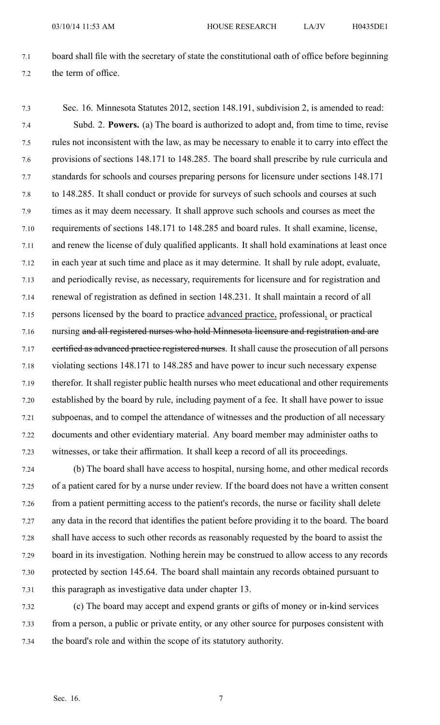- 7.1 board shall file with the secretary of state the constitutional oath of office before beginning 7.2 the term of office.
- 7.3 Sec. 16. Minnesota Statutes 2012, section 148.191, subdivision 2, is amended to read: 7.4 Subd. 2. **Powers.** (a) The board is authorized to adopt and, from time to time, revise 7.5 rules not inconsistent with the law, as may be necessary to enable it to carry into effect the 7.6 provisions of sections 148.171 to 148.285. The board shall prescribe by rule curricula and 7.7 standards for schools and courses preparing persons for licensure under sections 148.171 7.8 to 148.285. It shall conduct or provide for surveys of such schools and courses at such 7.9 times as it may deem necessary. It shall approve such schools and courses as meet the 7.10 requirements of sections 148.171 to 148.285 and board rules. It shall examine, license, 7.11 and renew the license of duly qualified applicants. It shall hold examinations at least once 7.12 in each year at such time and place as it may determine. It shall by rule adopt, evaluate, 7.13 and periodically revise, as necessary, requirements for licensure and for registration and 7.14 renewal of registration as defined in section 148.231. It shall maintain <sup>a</sup> record of all 7.15 persons licensed by the board to practice advanced practice, professional, or practical 7.16 nursing and all registered nurses who hold Minnesota licensure and registration and are 7.17 eertified as advanced practice registered nurses. It shall cause the prosecution of all persons 7.18 violating sections 148.171 to 148.285 and have power to incur such necessary expense 7.19 therefor. It shall register public health nurses who meet educational and other requirements 7.20 established by the board by rule, including paymen<sup>t</sup> of <sup>a</sup> fee. It shall have power to issue 7.21 subpoenas, and to compel the attendance of witnesses and the production of all necessary 7.22 documents and other evidentiary material. Any board member may administer oaths to 7.23 witnesses, or take their affirmation. It shall keep <sup>a</sup> record of all its proceedings.
- 7.24 (b) The board shall have access to hospital, nursing home, and other medical records 7.25 of <sup>a</sup> patient cared for by <sup>a</sup> nurse under review. If the board does not have <sup>a</sup> written consent 7.26 from <sup>a</sup> patient permitting access to the patient's records, the nurse or facility shall delete 7.27 any data in the record that identifies the patient before providing it to the board. The board 7.28 shall have access to such other records as reasonably requested by the board to assist the 7.29 board in its investigation. Nothing herein may be construed to allow access to any records 7.30 protected by section 145.64. The board shall maintain any records obtained pursuan<sup>t</sup> to 7.31 this paragraph as investigative data under chapter 13.
- 7.32 (c) The board may accep<sup>t</sup> and expend grants or gifts of money or in-kind services 7.33 from <sup>a</sup> person, <sup>a</sup> public or private entity, or any other source for purposes consistent with 7.34 the board's role and within the scope of its statutory authority.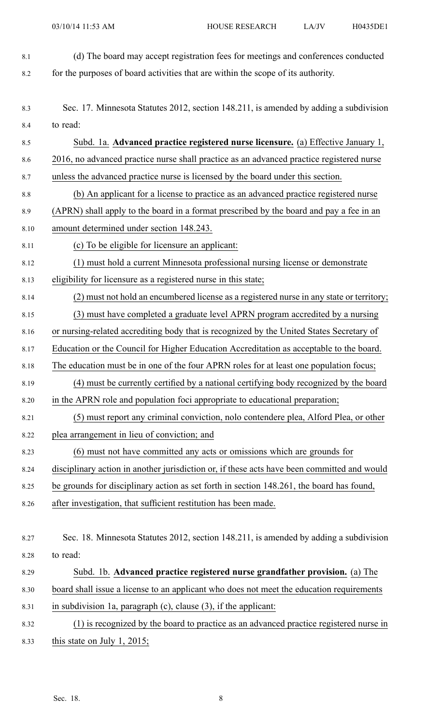- 8.1 (d) The board may accep<sup>t</sup> registration fees for meetings and conferences conducted 8.2 for the purposes of board activities that are within the scope of its authority.
- 
- 8.3 Sec. 17. Minnesota Statutes 2012, section 148.211, is amended by adding <sup>a</sup> subdivision 8.4 to read:
- 8.5 Subd. 1a. **Advanced practice registered nurse licensure.** (a) Effective January 1, 8.6 2016, no advanced practice nurse shall practice as an advanced practice registered nurse 8.7 unless the advanced practice nurse is licensed by the board under this section. 8.8 (b) An applicant for <sup>a</sup> license to practice as an advanced practice registered nurse
- 8.9 (APRN) shall apply to the board in <sup>a</sup> format prescribed by the board and pay <sup>a</sup> fee in an
- 8.10 amount determined under section 148.243.
- 8.11 (c) To be eligible for licensure an applicant:
- 8.12 (1) must hold <sup>a</sup> current Minnesota professional nursing license or demonstrate
- 8.13 eligibility for licensure as <sup>a</sup> registered nurse in this state;
- 8.14 (2) must not hold an encumbered license as <sup>a</sup> registered nurse in any state or territory; 8.15 (3) must have completed <sup>a</sup> graduate level APRN program accredited by <sup>a</sup> nursing
- 8.16 or nursing-related accrediting body that is recognized by the United States Secretary of
- 8.17 Education or the Council for Higher Education Accreditation as acceptable to the board.
- 8.18 The education must be in one of the four APRN roles for at least one population focus;
- 8.19 (4) must be currently certified by <sup>a</sup> national certifying body recognized by the board 8.20 in the APRN role and population foci appropriate to educational preparation;
- 8.21 (5) must repor<sup>t</sup> any criminal conviction, nolo contendere plea, Alford Plea, or other 8.22 plea arrangemen<sup>t</sup> in lieu of conviction; and
- 8.23 (6) must not have committed any acts or omissions which are grounds for
- 8.24 disciplinary action in another jurisdiction or, if these acts have been committed and would
- 8.25 be grounds for disciplinary action as set forth in section 148.261, the board has found,
- 8.26 after investigation, that sufficient restitution has been made.
- 8.27 Sec. 18. Minnesota Statutes 2012, section 148.211, is amended by adding <sup>a</sup> subdivision 8.28 to read:
- 8.29 Subd. 1b. **Advanced practice registered nurse grandfather provision.** (a) The 8.30 board shall issue <sup>a</sup> license to an applicant who does not meet the education requirements 8.31 in subdivision 1a, paragraph (c), clause (3), if the applicant:
- 8.32 (1) is recognized by the board to practice as an advanced practice registered nurse in 8.33 this state on July 1, 2015;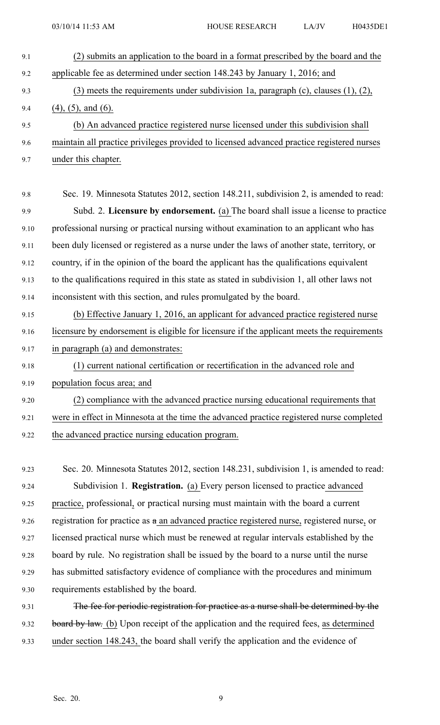9.1 (2) submits an application to the board in <sup>a</sup> format prescribed by the board and the 9.2 applicable fee as determined under section 148.243 by January 1, 2016; and 9.3 (3) meets the requirements under subdivision 1a, paragraph (c), clauses (1), (2), 9.4 (4), (5), and (6). 9.5 (b) An advanced practice registered nurse licensed under this subdivision shall 9.6 maintain all practice privileges provided to licensed advanced practice registered nurses 9.7 under this chapter. 9.8 Sec. 19. Minnesota Statutes 2012, section 148.211, subdivision 2, is amended to read: 9.9 Subd. 2. **Licensure by endorsement.** (a) The board shall issue <sup>a</sup> license to practice 9.10 professional nursing or practical nursing without examination to an applicant who has 9.11 been duly licensed or registered as <sup>a</sup> nurse under the laws of another state, territory, or 9.12 country, if in the opinion of the board the applicant has the qualifications equivalent 9.13 to the qualifications required in this state as stated in subdivision 1, all other laws not 9.14 inconsistent with this section, and rules promulgated by the board. 9.15 (b) Effective January 1, 2016, an applicant for advanced practice registered nurse 9.16 licensure by endorsement is eligible for licensure if the applicant meets the requirements 9.17 in paragraph (a) and demonstrates: 9.18 (1) current national certification or recertification in the advanced role and 9.19 population focus area; and 9.20 (2) compliance with the advanced practice nursing educational requirements that 9.21 were in effect in Minnesota at the time the advanced practice registered nurse completed 9.22 the advanced practice nursing education program. 9.23 Sec. 20. Minnesota Statutes 2012, section 148.231, subdivision 1, is amended to read: 9.24 Subdivision 1. **Registration.** (a) Every person licensed to practice advanced 9.25 practice, professional, or practical nursing must maintain with the board <sup>a</sup> current

9.26 registration for practice as  $a$  an advanced practice registered nurse, registered nurse, or

9.27 licensed practical nurse which must be renewed at regular intervals established by the 9.28 board by rule. No registration shall be issued by the board to <sup>a</sup> nurse until the nurse 9.29 has submitted satisfactory evidence of compliance with the procedures and minimum

9.30 requirements established by the board.

9.31 The fee for periodic registration for practice as a nurse shall be determined by the 9.32 board by law. (b) Upon receipt of the application and the required fees, as determined 9.33 under section 148.243, the board shall verify the application and the evidence of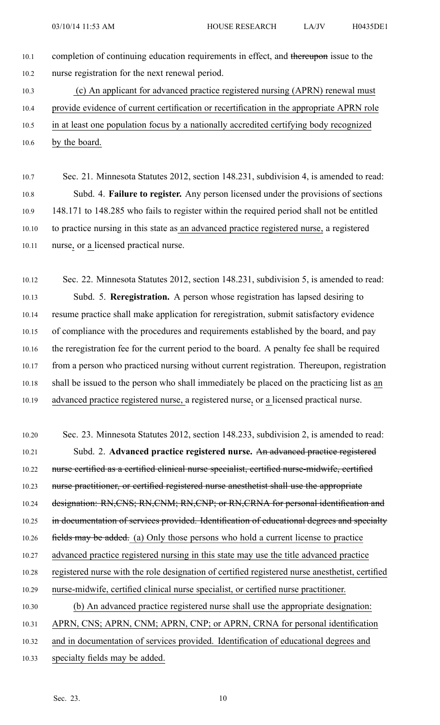- 10.1 completion of continuing education requirements in effect, and thereupon issue to the 10.2 nurse registration for the next renewal period.
- 10.3 (c) An applicant for advanced practice registered nursing (APRN) renewal must 10.4 provide evidence of current certification or recertification in the appropriate APRN role 10.5 in at least one population focus by <sup>a</sup> nationally accredited certifying body recognized
- 10.6 by the board.
- 10.7 Sec. 21. Minnesota Statutes 2012, section 148.231, subdivision 4, is amended to read: 10.8 Subd. 4. **Failure to register.** Any person licensed under the provisions of sections 10.9 148.171 to 148.285 who fails to register within the required period shall not be entitled 10.10 to practice nursing in this state as an advanced practice registered nurse, <sup>a</sup> registered 10.11 nurse, or <sup>a</sup> licensed practical nurse.

10.12 Sec. 22. Minnesota Statutes 2012, section 148.231, subdivision 5, is amended to read: 10.13 Subd. 5. **Reregistration.** A person whose registration has lapsed desiring to 10.14 resume practice shall make application for reregistration, submit satisfactory evidence 10.15 of compliance with the procedures and requirements established by the board, and pay 10.16 the reregistration fee for the current period to the board. A penalty fee shall be required 10.17 from <sup>a</sup> person who practiced nursing without current registration. Thereupon, registration 10.18 shall be issued to the person who shall immediately be placed on the practicing list as an 10.19 advanced practice registered nurse, <sup>a</sup> registered nurse, or <sup>a</sup> licensed practical nurse.

10.20 Sec. 23. Minnesota Statutes 2012, section 148.233, subdivision 2, is amended to read: 10.21 Subd. 2. **Advanced practice registered nurse.** An advanced practice registered 10.22 nurse certified as <sup>a</sup> certified clinical nurse specialist, certified nurse-midwife, certified 10.23 nurse practitioner, or certified registered nurse anesthetist shall use the appropriate 10.24 designation: RN, CNS; RN, CNM; RN, CNP; or RN, CRNA for personal identification and 10.25 in documentation of services provided. Identification of educational degrees and specialty 10.26 fields may be added. (a) Only those persons who hold a current license to practice 10.27 advanced practice registered nursing in this state may use the title advanced practice 10.28 registered nurse with the role designation of certified registered nurse anesthetist, certified 10.29 nurse-midwife, certified clinical nurse specialist, or certified nurse practitioner. 10.30 (b) An advanced practice registered nurse shall use the appropriate designation: 10.31 APRN, CNS; APRN, CNM; APRN, CNP; or APRN, CRNA for personal identification 10.32 and in documentation of services provided. Identification of educational degrees and 10.33 specialty fields may be added.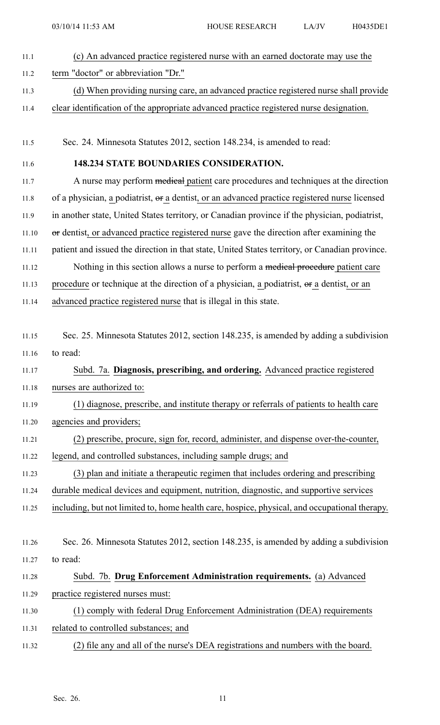| 11.1  | (c) An advanced practice registered nurse with an earned doctorate may use the                 |
|-------|------------------------------------------------------------------------------------------------|
| 11.2  | term "doctor" or abbreviation "Dr."                                                            |
| 11.3  | (d) When providing nursing care, an advanced practice registered nurse shall provide           |
| 11.4  | clear identification of the appropriate advanced practice registered nurse designation.        |
|       |                                                                                                |
| 11.5  | Sec. 24. Minnesota Statutes 2012, section 148.234, is amended to read:                         |
| 11.6  | <b>148.234 STATE BOUNDARIES CONSIDERATION.</b>                                                 |
| 11.7  | A nurse may perform medical patient care procedures and techniques at the direction            |
| 11.8  | of a physician, a podiatrist, or a dentist, or an advanced practice registered nurse licensed  |
| 11.9  | in another state, United States territory, or Canadian province if the physician, podiatrist,  |
| 11.10 | or dentist, or advanced practice registered nurse gave the direction after examining the       |
| 11.11 | patient and issued the direction in that state, United States territory, or Canadian province. |
| 11.12 | Nothing in this section allows a nurse to perform a medical procedure patient care             |
| 11.13 | procedure or technique at the direction of a physician, a podiatrist, or a dentist, or an      |
| 11.14 | advanced practice registered nurse that is illegal in this state.                              |
|       |                                                                                                |
| 11.15 | Sec. 25. Minnesota Statutes 2012, section 148.235, is amended by adding a subdivision          |
| 11.16 | to read:                                                                                       |
| 11.17 | Subd. 7a. Diagnosis, prescribing, and ordering. Advanced practice registered                   |
| 11.18 | nurses are authorized to:                                                                      |
| 11.19 | (1) diagnose, prescribe, and institute therapy or referrals of patients to health care         |
| 11.20 | agencies and providers;                                                                        |
| 11.21 | (2) prescribe, procure, sign for, record, administer, and dispense over-the-counter,           |
| 11.22 | legend, and controlled substances, including sample drugs; and                                 |
| 11.23 | (3) plan and initiate a therapeutic regimen that includes ordering and prescribing             |
| 11.24 | durable medical devices and equipment, nutrition, diagnostic, and supportive services          |
| 11.25 | including, but not limited to, home health care, hospice, physical, and occupational therapy.  |
|       |                                                                                                |
| 11.26 | Sec. 26. Minnesota Statutes 2012, section 148.235, is amended by adding a subdivision          |
| 11.27 | to read:                                                                                       |
| 11.28 | Subd. 7b. Drug Enforcement Administration requirements. (a) Advanced                           |
| 11.29 | practice registered nurses must:                                                               |
| 11.30 | (1) comply with federal Drug Enforcement Administration (DEA) requirements                     |
| 11.31 | related to controlled substances; and                                                          |
| 11.32 | (2) file any and all of the nurse's DEA registrations and numbers with the board.              |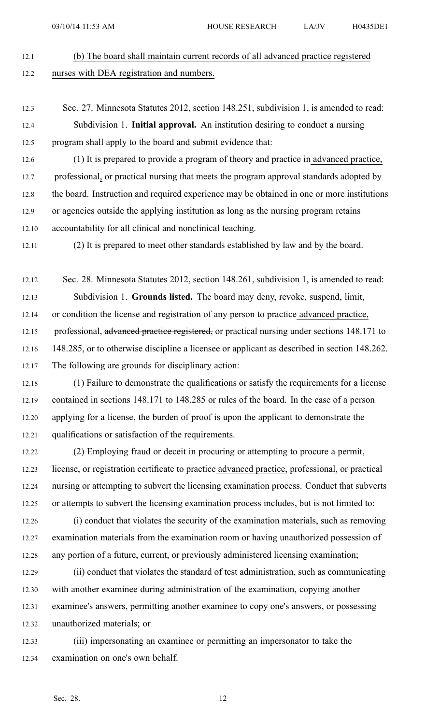- 12.1 (b) The board shall maintain current records of all advanced practice registered 12.2 nurses with DEA registration and numbers.
- 12.3 Sec. 27. Minnesota Statutes 2012, section 148.251, subdivision 1, is amended to read: 12.4 Subdivision 1. **Initial approval.** An institution desiring to conduct <sup>a</sup> nursing

12.5 program shall apply to the board and submit evidence that:

12.6 (1) It is prepared to provide <sup>a</sup> program of theory and practice in advanced practice, 12.7 professional, or practical nursing that meets the program approval standards adopted by 12.8 the board. Instruction and required experience may be obtained in one or more institutions 12.9 or agencies outside the applying institution as long as the nursing program retains 12.10 accountability for all clinical and nonclinical teaching.

12.11 (2) It is prepared to meet other standards established by law and by the board.

12.12 Sec. 28. Minnesota Statutes 2012, section 148.261, subdivision 1, is amended to read: 12.13 Subdivision 1. **Grounds listed.** The board may deny, revoke, suspend, limit, 12.14 or condition the license and registration of any person to practice advanced practice, 12.15 professional, advanced practice registered, or practical nursing under sections 148.171 to 12.16 148.285, or to otherwise discipline <sup>a</sup> licensee or applicant as described in section 148.262. 12.17 The following are grounds for disciplinary action:

- 12.18 (1) Failure to demonstrate the qualifications or satisfy the requirements for <sup>a</sup> license 12.19 contained in sections 148.171 to 148.285 or rules of the board. In the case of <sup>a</sup> person 12.20 applying for <sup>a</sup> license, the burden of proof is upon the applicant to demonstrate the 12.21 qualifications or satisfaction of the requirements.
- 12.22 (2) Employing fraud or deceit in procuring or attempting to procure <sup>a</sup> permit, 12.23 license, or registration certificate to practice advanced practice, professional, or practical 12.24 nursing or attempting to subvert the licensing examination process. Conduct that subverts 12.25 or attempts to subvert the licensing examination process includes, but is not limited to:
- 12.26 (i) conduct that violates the security of the examination materials, such as removing 12.27 examination materials from the examination room or having unauthorized possession of 12.28 any portion of <sup>a</sup> future, current, or previously administered licensing examination;
- 12.29 (ii) conduct that violates the standard of test administration, such as communicating 12.30 with another examinee during administration of the examination, copying another 12.31 examinee's answers, permitting another examinee to copy one's answers, or possessing 12.32 unauthorized materials; or

12.33 (iii) impersonating an examinee or permitting an impersonator to take the 12.34 examination on one's own behalf.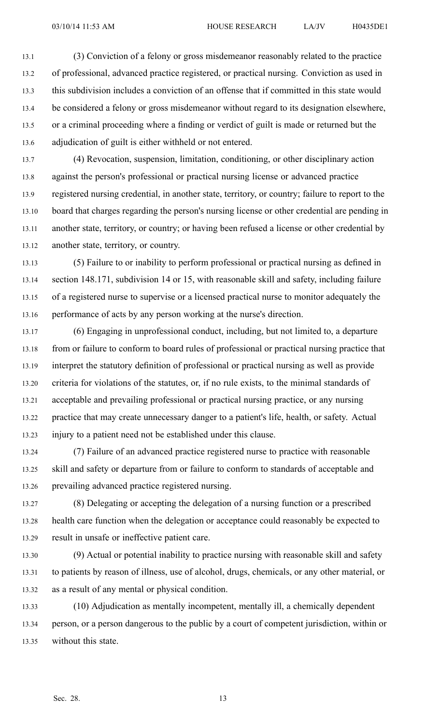13.1 (3) Conviction of <sup>a</sup> felony or gross misdemeanor reasonably related to the practice 13.2 of professional, advanced practice registered, or practical nursing. Conviction as used in 13.3 this subdivision includes <sup>a</sup> conviction of an offense that if committed in this state would 13.4 be considered <sup>a</sup> felony or gross misdemeanor without regard to its designation elsewhere, 13.5 or <sup>a</sup> criminal proceeding where <sup>a</sup> finding or verdict of guilt is made or returned but the 13.6 adjudication of guilt is either withheld or not entered.

13.7 (4) Revocation, suspension, limitation, conditioning, or other disciplinary action 13.8 against the person's professional or practical nursing license or advanced practice 13.9 registered nursing credential, in another state, territory, or country; failure to repor<sup>t</sup> to the 13.10 board that charges regarding the person's nursing license or other credential are pending in 13.11 another state, territory, or country; or having been refused <sup>a</sup> license or other credential by 13.12 another state, territory, or country.

13.13 (5) Failure to or inability to perform professional or practical nursing as defined in 13.14 section 148.171, subdivision 14 or 15, with reasonable skill and safety, including failure 13.15 of <sup>a</sup> registered nurse to supervise or <sup>a</sup> licensed practical nurse to monitor adequately the 13.16 performance of acts by any person working at the nurse's direction.

13.17 (6) Engaging in unprofessional conduct, including, but not limited to, <sup>a</sup> departure 13.18 from or failure to conform to board rules of professional or practical nursing practice that 13.19 interpret the statutory definition of professional or practical nursing as well as provide 13.20 criteria for violations of the statutes, or, if no rule exists, to the minimal standards of 13.21 acceptable and prevailing professional or practical nursing practice, or any nursing 13.22 practice that may create unnecessary danger to <sup>a</sup> patient's life, health, or safety. Actual 13.23 injury to <sup>a</sup> patient need not be established under this clause.

13.24 (7) Failure of an advanced practice registered nurse to practice with reasonable 13.25 skill and safety or departure from or failure to conform to standards of acceptable and 13.26 prevailing advanced practice registered nursing.

13.27 (8) Delegating or accepting the delegation of <sup>a</sup> nursing function or <sup>a</sup> prescribed 13.28 health care function when the delegation or acceptance could reasonably be expected to 13.29 result in unsafe or ineffective patient care.

13.30 (9) Actual or potential inability to practice nursing with reasonable skill and safety 13.31 to patients by reason of illness, use of alcohol, drugs, chemicals, or any other material, or 13.32 as <sup>a</sup> result of any mental or physical condition.

13.33 (10) Adjudication as mentally incompetent, mentally ill, <sup>a</sup> chemically dependent 13.34 person, or <sup>a</sup> person dangerous to the public by <sup>a</sup> court of competent jurisdiction, within or 13.35 without this state.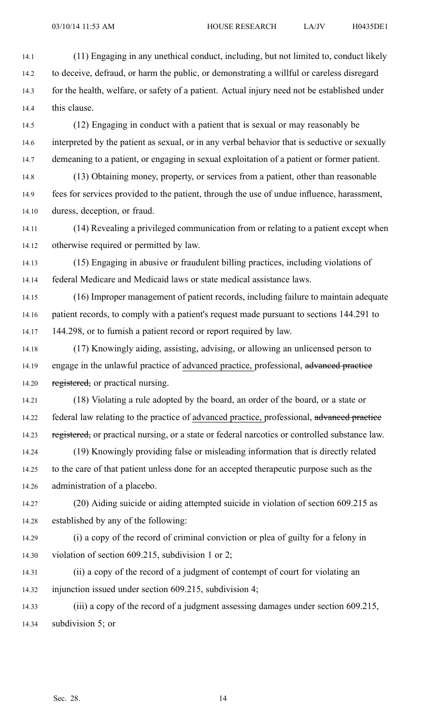14.1 (11) Engaging in any unethical conduct, including, but not limited to, conduct likely 14.2 to deceive, defraud, or harm the public, or demonstrating <sup>a</sup> willful or careless disregard 14.3 for the health, welfare, or safety of <sup>a</sup> patient. Actual injury need not be established under 14.4 this clause.

14.5 (12) Engaging in conduct with <sup>a</sup> patient that is sexual or may reasonably be 14.6 interpreted by the patient as sexual, or in any verbal behavior that is seductive or sexually 14.7 demeaning to a patient, or engaging in sexual exploitation of a patient or former patient.

14.8 (13) Obtaining money, property, or services from <sup>a</sup> patient, other than reasonable 14.9 fees for services provided to the patient, through the use of undue influence, harassment, 14.10 duress, deception, or fraud.

14.11 (14) Revealing <sup>a</sup> privileged communication from or relating to <sup>a</sup> patient excep<sup>t</sup> when 14.12 otherwise required or permitted by law.

14.13 (15) Engaging in abusive or fraudulent billing practices, including violations of 14.14 federal Medicare and Medicaid laws or state medical assistance laws.

14.15 (16) Improper managemen<sup>t</sup> of patient records, including failure to maintain adequate 14.16 patient records, to comply with <sup>a</sup> patient's reques<sup>t</sup> made pursuan<sup>t</sup> to sections 144.291 to 14.17 144.298, or to furnish <sup>a</sup> patient record or repor<sup>t</sup> required by law.

14.18 (17) Knowingly aiding, assisting, advising, or allowing an unlicensed person to 14.19 engage in the unlawful practice of advanced practice, professional, advanced practice 14.20 registered, or practical nursing.

14.21 (18) Violating <sup>a</sup> rule adopted by the board, an order of the board, or <sup>a</sup> state or 14.22 federal law relating to the practice of advanced practice, professional, advanced practice 14.23 registered, or practical nursing, or a state or federal narcotics or controlled substance law.

14.24 (19) Knowingly providing false or misleading information that is directly related 14.25 to the care of that patient unless done for an accepted therapeutic purpose such as the 14.26 administration of <sup>a</sup> placebo.

14.27 (20) Aiding suicide or aiding attempted suicide in violation of section 609.215 as 14.28 established by any of the following:

14.29 (i) <sup>a</sup> copy of the record of criminal conviction or plea of guilty for <sup>a</sup> felony in 14.30 violation of section 609.215, subdivision 1 or 2;

14.31 (ii) <sup>a</sup> copy of the record of <sup>a</sup> judgment of contempt of court for violating an 14.32 injunction issued under section 609.215, subdivision 4;

14.33 (iii) <sup>a</sup> copy of the record of <sup>a</sup> judgment assessing damages under section 609.215, 14.34 subdivision 5; or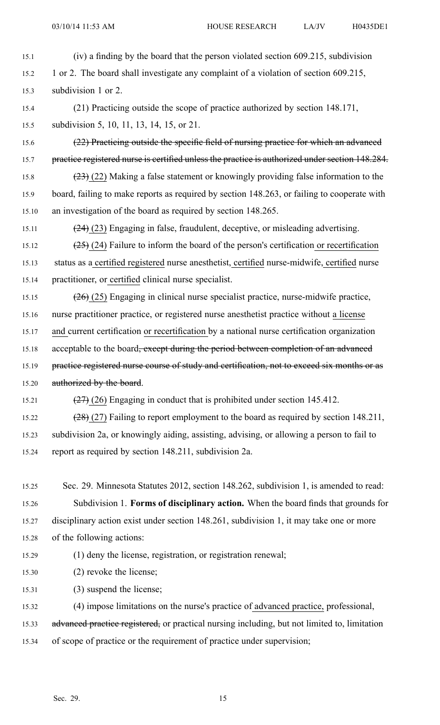15.1 (iv) <sup>a</sup> finding by the board that the person violated section 609.215, subdivision 15.2 1 or 2. The board shall investigate any complaint of <sup>a</sup> violation of section 609.215, 15.3 subdivision 1 or 2. 15.4 (21) Practicing outside the scope of practice authorized by section 148.171, 15.5 subdivision 5, 10, 11, 13, 14, 15, or 21. 15.6 (22) Practicing outside the specific field of nursing practice for which an advanced 15.7 practice registered nurse is certified unless the practice is authorized under section 148.284. 15.8  $(23)$  (22) Making a false statement or knowingly providing false information to the 15.9 board, failing to make reports as required by section 148.263, or failing to cooperate with 15.10 an investigation of the board as required by section 148.265. 15.11  $(24)$  (23) Engaging in false, fraudulent, deceptive, or misleading advertising. 15.12  $(25)$  (24) Failure to inform the board of the person's certification or recertification 15.13 status as <sup>a</sup> certified registered nurse anesthetist, certified nurse-midwife, certified nurse 15.14 practitioner, or certified clinical nurse specialist. 15.15  $(26)(25)$  Engaging in clinical nurse specialist practice, nurse-midwife practice, 15.16 nurse practitioner practice, or registered nurse anesthetist practice without <sup>a</sup> license 15.17 and current certification or recertification by <sup>a</sup> national nurse certification organization 15.18 acceptable to the board<del>, except during the period between completion of an advanced</del> 15.19 practice registered nurse course of study and certification, not to exceed six months or as 15.20 authorized by the board. 15.21 (27) (26) Engaging in conduct that is prohibited under section 145.412. 15.22 (28) (27) Failing to repor<sup>t</sup> employment to the board as required by section 148.211, 15.23 subdivision 2a, or knowingly aiding, assisting, advising, or allowing <sup>a</sup> person to fail to 15.24 repor<sup>t</sup> as required by section 148.211, subdivision 2a. 15.25 Sec. 29. Minnesota Statutes 2012, section 148.262, subdivision 1, is amended to read: 15.26 Subdivision 1. **Forms of disciplinary action.** When the board finds that grounds for 15.27 disciplinary action exist under section 148.261, subdivision 1, it may take one or more 15.28 of the following actions: 15.29 (1) deny the license, registration, or registration renewal; 15.30 (2) revoke the license; 15.31 (3) suspend the license; 15.32 (4) impose limitations on the nurse's practice of advanced practice, professional,

15.33 advanced practice registered, or practical nursing including, but not limited to, limitation

15.34 of scope of practice or the requirement of practice under supervision;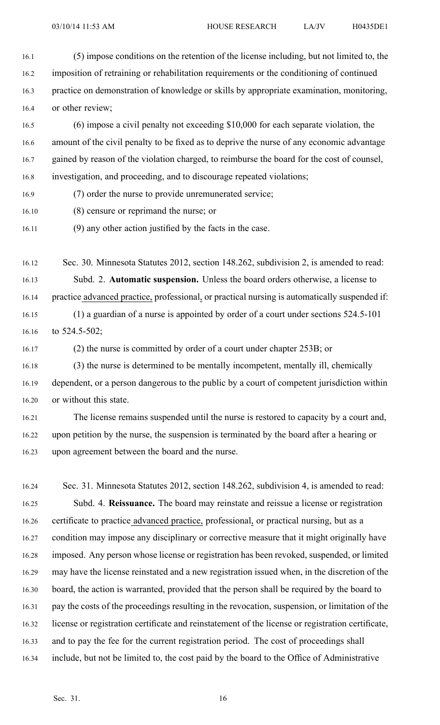- 16.1 (5) impose conditions on the retention of the license including, but not limited to, the 16.2 imposition of retraining or rehabilitation requirements or the conditioning of continued 16.3 practice on demonstration of knowledge or skills by appropriate examination, monitoring, 16.4 or other review;
- 16.5 (6) impose <sup>a</sup> civil penalty not exceeding \$10,000 for each separate violation, the 16.6 amount of the civil penalty to be fixed as to deprive the nurse of any economic advantage 16.7 gained by reason of the violation charged, to reimburse the board for the cost of counsel, 16.8 investigation, and proceeding, and to discourage repeated violations;
- 16.9 (7) order the nurse to provide unremunerated service;
- 16.10 (8) censure or reprimand the nurse; or
- 16.11 (9) any other action justified by the facts in the case.
- 16.12 Sec. 30. Minnesota Statutes 2012, section 148.262, subdivision 2, is amended to read: 16.13 Subd. 2. **Automatic suspension.** Unless the board orders otherwise, <sup>a</sup> license to 16.14 practice advanced practice, professional, or practical nursing is automatically suspended if: 16.15 (1) <sup>a</sup> guardian of <sup>a</sup> nurse is appointed by order of <sup>a</sup> court under sections 524.5-101 16.16 to 524.5-502;
- 

16.17 (2) the nurse is committed by order of <sup>a</sup> court under chapter 253B; or

- 16.18 (3) the nurse is determined to be mentally incompetent, mentally ill, chemically 16.19 dependent, or <sup>a</sup> person dangerous to the public by <sup>a</sup> court of competent jurisdiction within 16.20 or without this state.
- 16.21 The license remains suspended until the nurse is restored to capacity by <sup>a</sup> court and, 16.22 upon petition by the nurse, the suspension is terminated by the board after <sup>a</sup> hearing or 16.23 upon agreemen<sup>t</sup> between the board and the nurse.
- 16.24 Sec. 31. Minnesota Statutes 2012, section 148.262, subdivision 4, is amended to read: 16.25 Subd. 4. **Reissuance.** The board may reinstate and reissue <sup>a</sup> license or registration 16.26 certificate to practice advanced practice, professional, or practical nursing, but as <sup>a</sup> 16.27 condition may impose any disciplinary or corrective measure that it might originally have 16.28 imposed. Any person whose license or registration has been revoked, suspended, or limited 16.29 may have the license reinstated and <sup>a</sup> new registration issued when, in the discretion of the 16.30 board, the action is warranted, provided that the person shall be required by the board to 16.31 pay the costs of the proceedings resulting in the revocation, suspension, or limitation of the 16.32 license or registration certificate and reinstatement of the license or registration certificate, 16.33 and to pay the fee for the current registration period. The cost of proceedings shall 16.34 include, but not be limited to, the cost paid by the board to the Office of Administrative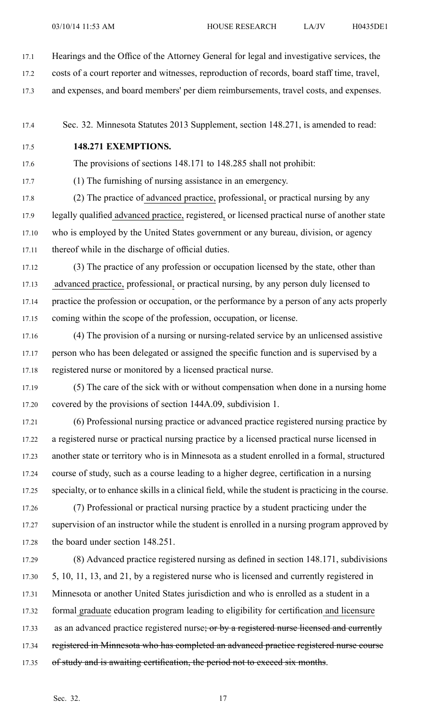- 17.1 Hearings and the Office of the Attorney General for legal and investigative services, the
- 17.2 costs of <sup>a</sup> court reporter and witnesses, reproduction of records, board staff time, travel,
- 17.3 and expenses, and board members' per diem reimbursements, travel costs, and expenses.

17.4 Sec. 32. Minnesota Statutes 2013 Supplement, section 148.271, is amended to read:

17.5 **148.271 EXEMPTIONS.**

17.6 The provisions of sections 148.171 to 148.285 shall not prohibit:

17.7 (1) The furnishing of nursing assistance in an emergency.

17.8 (2) The practice of advanced practice, professional, or practical nursing by any 17.9 legally qualified advanced practice, registered, or licensed practical nurse of another state 17.10 who is employed by the United States governmen<sup>t</sup> or any bureau, division, or agency 17.11 thereof while in the discharge of official duties.

17.12 (3) The practice of any profession or occupation licensed by the state, other than 17.13 advanced practice, professional, or practical nursing, by any person duly licensed to 17.14 practice the profession or occupation, or the performance by <sup>a</sup> person of any acts properly 17.15 coming within the scope of the profession, occupation, or license.

17.16 (4) The provision of <sup>a</sup> nursing or nursing-related service by an unlicensed assistive 17.17 person who has been delegated or assigned the specific function and is supervised by <sup>a</sup> 17.18 registered nurse or monitored by <sup>a</sup> licensed practical nurse.

17.19 (5) The care of the sick with or without compensation when done in <sup>a</sup> nursing home 17.20 covered by the provisions of section 144A.09, subdivision 1.

17.21 (6) Professional nursing practice or advanced practice registered nursing practice by 17.22 <sup>a</sup> registered nurse or practical nursing practice by <sup>a</sup> licensed practical nurse licensed in 17.23 another state or territory who is in Minnesota as <sup>a</sup> student enrolled in <sup>a</sup> formal, structured 17.24 course of study, such as <sup>a</sup> course leading to <sup>a</sup> higher degree, certification in <sup>a</sup> nursing 17.25 specialty, or to enhance skills in <sup>a</sup> clinical field, while the student is practicing in the course.

17.26 (7) Professional or practical nursing practice by <sup>a</sup> student practicing under the 17.27 supervision of an instructor while the student is enrolled in a nursing program approved by 17.28 the board under section 148.251.

17.29 (8) Advanced practice registered nursing as defined in section 148.171, subdivisions 17.30 5, 10, 11, 13, and 21, by <sup>a</sup> registered nurse who is licensed and currently registered in 17.31 Minnesota or another United States jurisdiction and who is enrolled as <sup>a</sup> student in <sup>a</sup> 17.32 formal graduate education program leading to eligibility for certification and licensure 17.33 as an advanced practice registered nurse; or by a registered nurse licensed and currently 17.34 registered in Minnesota who has completed an advanced practice registered nurse course 17.35 of study and is awaiting certification, the period not to exceed six months.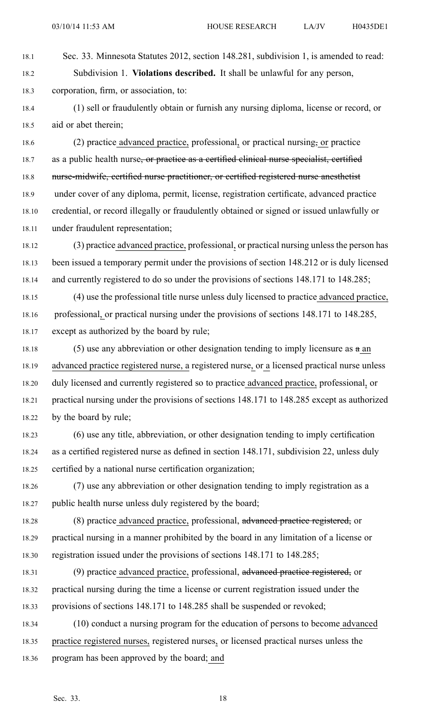- 18.1 Sec. 33. Minnesota Statutes 2012, section 148.281, subdivision 1, is amended to read: 18.2 Subdivision 1. **Violations described.** It shall be unlawful for any person, 18.3 corporation, firm, or association, to:
- 18.4 (1) sell or fraudulently obtain or furnish any nursing diploma, license or record, or 18.5 aid or abet therein;

18.6 (2) practice advanced practice, professional, or practical nursing, or practice 18.7 as a public health nurse, or practice as a certified clinical nurse specialist, certified 18.8 nurse-midwife, certified nurse practitioner, or certified registered nurse anesthetist 18.9 under cover of any diploma, permit, license, registration certificate, advanced practice 18.10 credential, or record illegally or fraudulently obtained or signed or issued unlawfully or 18.11 under fraudulent representation;

18.12 (3) practice advanced practice, professional, or practical nursing unless the person has 18.13 been issued <sup>a</sup> temporary permit under the provisions of section 148.212 or is duly licensed 18.14 and currently registered to do so under the provisions of sections 148.171 to 148.285;

18.15 (4) use the professional title nurse unless duly licensed to practice advanced practice, 18.16 professional, or practical nursing under the provisions of sections 148.171 to 148.285, 18.17 excep<sup>t</sup> as authorized by the board by rule;

- 18.18 (5) use any abbreviation or other designation tending to imply licensure as  $a$  an 18.19 advanced practice registered nurse, <sup>a</sup> registered nurse, or <sup>a</sup> licensed practical nurse unless 18.20 duly licensed and currently registered so to practice advanced practice, professional, or 18.21 practical nursing under the provisions of sections 148.171 to 148.285 excep<sup>t</sup> as authorized 18.22 by the board by rule;
- 18.23 (6) use any title, abbreviation, or other designation tending to imply certification 18.24 as <sup>a</sup> certified registered nurse as defined in section 148.171, subdivision 22, unless duly 18.25 certified by <sup>a</sup> national nurse certification organization;
- 18.26 (7) use any abbreviation or other designation tending to imply registration as <sup>a</sup> 18.27 public health nurse unless duly registered by the board;
- 18.28 (8) practice advanced practice, professional, advanced practice registered, or 18.29 practical nursing in <sup>a</sup> manner prohibited by the board in any limitation of <sup>a</sup> license or 18.30 registration issued under the provisions of sections 148.171 to 148.285;
- 18.31 (9) practice advanced practice, professional, advanced practice registered, or 18.32 practical nursing during the time <sup>a</sup> license or current registration issued under the 18.33 provisions of sections 148.171 to 148.285 shall be suspended or revoked;
- 18.34 (10) conduct <sup>a</sup> nursing program for the education of persons to become advanced 18.35 practice registered nurses, registered nurses, or licensed practical nurses unless the 18.36 program has been approved by the board; and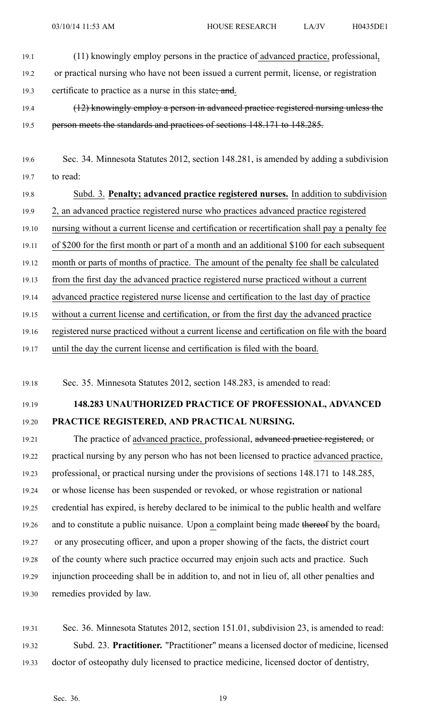- 19.1 (11) knowingly employ persons in the practice of advanced practice, professional, 19.2 or practical nursing who have not been issued <sup>a</sup> current permit, license, or registration
- 19.3 certificate to practice as a nurse in this state; and.
- 19.4 (12) knowingly employ <sup>a</sup> person in advanced practice registered nursing unless the 19.5 person meets the standards and practices of sections 148.171 to 148.285.
- 19.6 Sec. 34. Minnesota Statutes 2012, section 148.281, is amended by adding <sup>a</sup> subdivision 19.7 to read:
- 19.8 Subd. 3. **Penalty; advanced practice registered nurses.** In addition to subdivision 19.9 2, an advanced practice registered nurse who practices advanced practice registered 19.10 nursing without <sup>a</sup> current license and certification or recertification shall pay <sup>a</sup> penalty fee 19.11 of \$200 for the first month or par<sup>t</sup> of <sup>a</sup> month and an additional \$100 for each subsequent 19.12 month or parts of months of practice. The amount of the penalty fee shall be calculated 19.13 from the first day the advanced practice registered nurse practiced without <sup>a</sup> current 19.14 advanced practice registered nurse license and certification to the last day of practice 19.15 without <sup>a</sup> current license and certification, or from the first day the advanced practice 19.16 registered nurse practiced without <sup>a</sup> current license and certification on file with the board 19.17 until the day the current license and certification is filed with the board.

19.18 Sec. 35. Minnesota Statutes 2012, section 148.283, is amended to read:

## 19.19 **148.283 UNAUTHORIZED PRACTICE OF PROFESSIONAL, ADVANCED** 19.20 **PRACTICE REGISTERED, AND PRACTICAL NURSING.**

19.21 The practice of advanced practice, professional, advanced practice registered, or 19.22 practical nursing by any person who has not been licensed to practice advanced practice, 19.23 professional, or practical nursing under the provisions of sections 148.171 to 148.285, 19.24 or whose license has been suspended or revoked, or whose registration or national 19.25 credential has expired, is hereby declared to be inimical to the public health and welfare 19.26 and to constitute a public nuisance. Upon a complaint being made thereof by the board, 19.27 or any prosecuting officer, and upon <sup>a</sup> proper showing of the facts, the district court 19.28 of the county where such practice occurred may enjoin such acts and practice. Such 19.29 injunction proceeding shall be in addition to, and not in lieu of, all other penalties and 19.30 remedies provided by law.

19.31 Sec. 36. Minnesota Statutes 2012, section 151.01, subdivision 23, is amended to read: 19.32 Subd. 23. **Practitioner.** "Practitioner" means <sup>a</sup> licensed doctor of medicine, licensed 19.33 doctor of osteopathy duly licensed to practice medicine, licensed doctor of dentistry,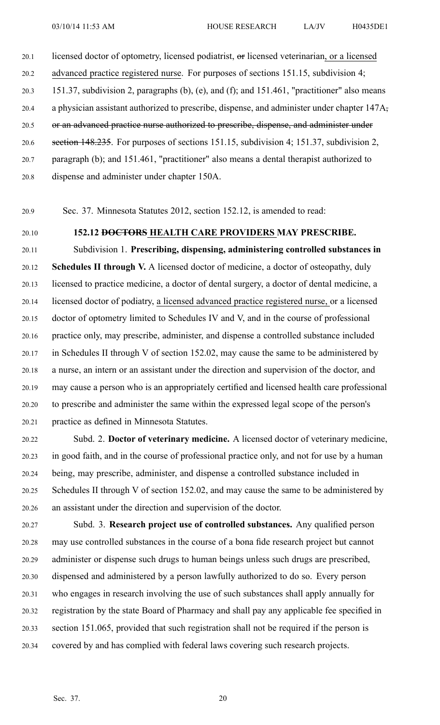## 20.1 licensed doctor of optometry, licensed podiatrist, or licensed veterinarian, or a licensed

20.2 advanced practice registered nurse. For purposes of sections 151.15, subdivision 4;

- 20.3 151.37, subdivision 2, paragraphs (b), (e), and (f); and 151.461, "practitioner" also means
- 20.4 <sup>a</sup> physician assistant authorized to prescribe, dispense, and administer under chapter 147A,
- 20.5 or an advanced practice nurse authorized to prescribe, dispense, and administer under
- 20.6 section 148.235. For purposes of sections 151.15, subdivision 4; 151.37, subdivision 2,
- 20.7 paragraph (b); and 151.461, "practitioner" also means <sup>a</sup> dental therapist authorized to
- 20.8 dispense and administer under chapter 150A.
- 20.9 Sec. 37. Minnesota Statutes 2012, section 152.12, is amended to read:
- 

### 20.10 **152.12 DOCTORS HEALTH CARE PROVIDERS MAY PRESCRIBE.**

20.11 Subdivision 1. **Prescribing, dispensing, administering controlled substances in** 20.12 **Schedules II through V.** Alicensed doctor of medicine, <sup>a</sup> doctor of osteopathy, duly 20.13 licensed to practice medicine, <sup>a</sup> doctor of dental surgery, <sup>a</sup> doctor of dental medicine, <sup>a</sup> 20.14 licensed doctor of podiatry, <sup>a</sup> licensed advanced practice registered nurse, or <sup>a</sup> licensed 20.15 doctor of optometry limited to Schedules IV and V, and in the course of professional 20.16 practice only, may prescribe, administer, and dispense <sup>a</sup> controlled substance included 20.17 in Schedules II through V of section 152.02, may cause the same to be administered by 20.18 <sup>a</sup> nurse, an intern or an assistant under the direction and supervision of the doctor, and 20.19 may cause <sup>a</sup> person who is an appropriately certified and licensed health care professional 20.20 to prescribe and administer the same within the expressed legal scope of the person's 20.21 practice as defined in Minnesota Statutes.

- 20.22 Subd. 2. **Doctor of veterinary medicine.** A licensed doctor of veterinary medicine, 20.23 in good faith, and in the course of professional practice only, and not for use by <sup>a</sup> human 20.24 being, may prescribe, administer, and dispense <sup>a</sup> controlled substance included in 20.25 Schedules II through V of section 152.02, and may cause the same to be administered by 20.26 an assistant under the direction and supervision of the doctor.
- 20.27 Subd. 3. **Research project use of controlled substances.** Any qualified person 20.28 may use controlled substances in the course of <sup>a</sup> bona fide research project but cannot 20.29 administer or dispense such drugs to human beings unless such drugs are prescribed, 20.30 dispensed and administered by <sup>a</sup> person lawfully authorized to do so. Every person 20.31 who engages in research involving the use of such substances shall apply annually for 20.32 registration by the state Board of Pharmacy and shall pay any applicable fee specified in 20.33 section 151.065, provided that such registration shall not be required if the person is 20.34 covered by and has complied with federal laws covering such research projects.